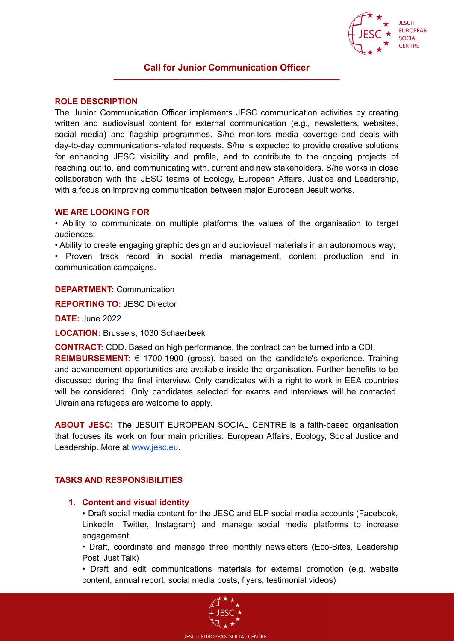

# **Call for Junior Communication Officer ———————————————————————————**

#### **ROLE DESCRIPTION**

The Junior Communication Officer implements JESC communication activities by creating written and audiovisual content for external communication (e.g., newsletters, websites, social media) and flagship programmes. S/he monitors media coverage and deals with day-to-day communications-related requests. S/he is expected to provide creative solutions for enhancing JESC visibility and profile, and to contribute to the ongoing projects of reaching out to, and communicating with, current and new stakeholders. S/he works in close collaboration with the JESC teams of Ecology, European Affairs, Justice and Leadership, with a focus on improving communication between major European Jesuit works.

#### **WE ARE LOOKING FOR**

• Ability to communicate on multiple platforms the values of the organisation to target audiences;

• Ability to create engaging graphic design and audiovisual materials in an autonomous way;

• Proven track record in social media management, content production and in communication campaigns.

### **DEPARTMENT:** Communication

**REPORTING TO:** JESC Director

**DATE:** June 2022

**LOCATION:** Brussels, 1030 Schaerbeek

**CONTRACT:** CDD. Based on high performance, the contract can be turned into a CDI. **REIMBURSEMENT:** € 1700-1900 (gross), based on the candidate's experience. Training and advancement opportunities are available inside the organisation. Further benefits to be discussed during the final interview. Only candidates with a right to work in EEA countries will be considered. Only candidates selected for exams and interviews will be contacted. Ukrainians refugees are welcome to apply.

**ABOUT JESC:** The JESUIT EUROPEAN SOCIAL CENTRE is a faith-based organisation that focuses its work on four main priorities: European Affairs, Ecology, Social Justice and Leadership. More at [www.jesc.eu.](http://www.jesc.eu)

### **TASKS AND RESPONSIBILITIES**

#### **1. Content and visual identity**

• Draft social media content for the [JESC](https://jesc.eu/) and ELP social media accounts (Facebook, LinkedIn, Twitter, Instagram) and manage social media platforms to increase engagement

• Draft, coordinate and manage three monthly newsletters (Eco-Bites, Leadership Post, Just Talk)

• Draft and edit communications materials for external promotion (e.g. website content, annual report, social media posts, flyers, testimonial videos)